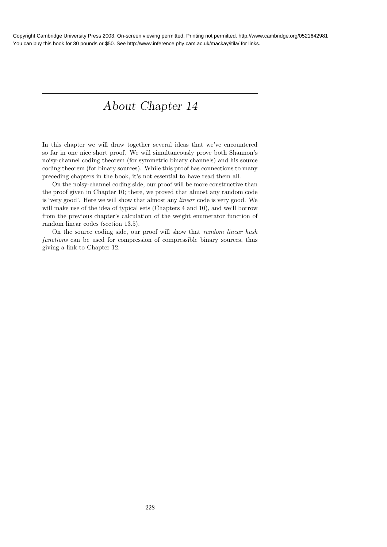# About Chapter 14

In this chapter we will draw together several ideas that we've encountered so far in one nice short proof. We will simultaneously prove both Shannon's noisy-channel coding theorem (for symmetric binary channels) and his source coding theorem (for binary sources). While this proof has connections to many preceding chapters in the book, it's not essential to have read them all.

On the noisy-channel coding side, our proof will be more constructive than the proof given in Chapter 10; there, we proved that almost any random code is 'very good'. Here we will show that almost any linear code is very good. We will make use of the idea of typical sets (Chapters 4 and 10), and we'll borrow from the previous chapter's calculation of the weight enumerator function of random linear codes (section 13.5).

On the source coding side, our proof will show that random linear hash functions can be used for compression of compressible binary sources, thus giving a link to Chapter 12.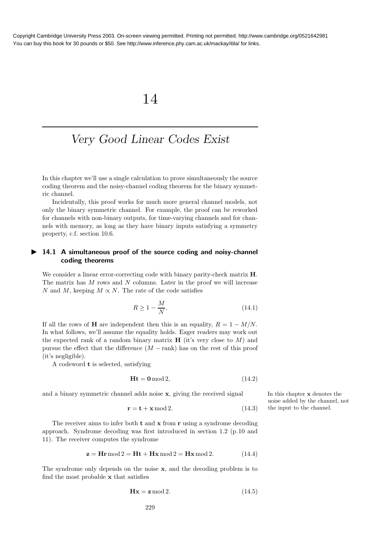## 14

### Very Good Linear Codes Exist

In this chapter we'll use a single calculation to prove simultaneously the source coding theorem and the noisy-channel coding theorem for the binary symmetric channel.

Incidentally, this proof works for much more general channel models, not only the binary symmetric channel. For example, the proof can be reworked for channels with non-binary outputs, for time-varying channels and for channels with memory, as long as they have binary inputs satisfying a symmetry property, c.f. section 10.6.

#### ▶ 14.1 A simultaneous proof of the source coding and noisy-channel coding theorems

We consider a linear error-correcting code with binary parity-check matrix  $H$ . The matrix has  $M$  rows and  $N$  columns. Later in the proof we will increase N and M, keeping  $M \propto N$ . The rate of the code satisfies

$$
R \ge 1 - \frac{M}{N}.\tag{14.1}
$$

If all the rows of **H** are independent then this is an equality,  $R = 1 - M/N$ . In what follows, we'll assume the equality holds. Eager readers may work out the expected rank of a random binary matrix  $\bf{H}$  (it's very close to M) and pursue the effect that the difference  $(M - \text{rank})$  has on the rest of this proof (it's negligible).

A codeword t is selected, satisfying

$$
Ht = 0 \mod 2, \tag{14.2}
$$

and a binary symmetric channel adds noise  $x$ , giving the received signal In this chapter  $x$  denotes the

$$
\mathbf{r} = \mathbf{t} + \mathbf{x} \bmod 2. \tag{14.3}
$$

The receiver aims to infer both  $t$  and  $x$  from  $r$  using a syndrome decoding approach. Syndrome decoding was first introduced in section 1.2 (p.10 and 11). The receiver computes the syndrome

$$
\mathbf{z} = \mathbf{H}\mathbf{r} \bmod 2 = \mathbf{H}\mathbf{t} + \mathbf{H}\mathbf{x} \bmod 2 = \mathbf{H}\mathbf{x} \bmod 2. \tag{14.4}
$$

The syndrome only depends on the noise x, and the decoding problem is to find the most probable x that satisfies

$$
\mathbf{Hx} = \mathbf{z} \bmod 2. \tag{14.5}
$$

noise added by the channel, not the input to the channel.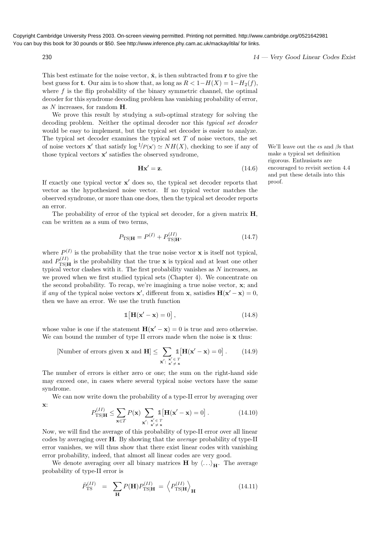230 230 230 14 — Very Good Linear Codes Exist

This best estimate for the noise vector,  $\hat{\mathbf{x}}$ , is then subtracted from **r** to give the best guess for t. Our aim is to show that, as long as  $R < 1-H(X) = 1-H<sub>2</sub>(f)$ , where  $f$  is the flip probability of the binary symmetric channel, the optimal decoder for this syndrome decoding problem has vanishing probability of error, as N increases, for random H.

We prove this result by studying a sub-optimal strategy for solving the decoding problem. Neither the optimal decoder nor this typical set decoder would be easy to implement, but the typical set decoder is easier to analyze. The typical set decoder examines the typical set  $T$  of noise vectors, the set of noise vectors **x'** that satisfy  $\log^{1}/P(x') \simeq NH(X)$ , checking to see if any of We'll leave out the  $\epsilon$ s and  $\beta$ s that those typical vectors  $x'$  satisfies the observed syndrome,

$$
\mathbf{Hx'} = \mathbf{z}.\tag{14.6}
$$

If exactly one typical vector  $x'$  does so, the typical set decoder reports that vector as the hypothesized noise vector. If no typical vector matches the observed syndrome, or more than one does, then the typical set decoder reports an error.

The probability of error of the typical set decoder, for a given matrix  $H$ , can be written as a sum of two terms,

$$
P_{\rm TS|H} = P^{(I)} + P_{\rm TS|H}^{(II)},\tag{14.7}
$$

where  $P^{(I)}$  is the probability that the true noise vector **x** is itself not typical, and  $P_{\text{TSI}}^{(II)}$  $T_{\text{TS}}^{(II)}$  is the probability that the true **x** is typical and at least one other typical vector clashes with it. The first probability vanishes as  $N$  increases, as we proved when we first studied typical sets (Chapter 4). We concentrate on the second probability. To recap, we're imagining a true noise vector, x; and if any of the typical noise vectors  $\mathbf{x}'$ , different from  $\mathbf{x}$ , satisfies  $\mathbf{H}(\mathbf{x}' - \mathbf{x}) = 0$ , then we have an error. We use the truth function

$$
\mathbb{1}[\mathbf{H}(\mathbf{x}' - \mathbf{x}) = 0],\tag{14.8}
$$

whose value is one if the statement  $\mathbf{H}(\mathbf{x}' - \mathbf{x}) = 0$  is true and zero otherwise. We can bound the number of type II errors made when the noise is  $x$  thus:

$$
\text{[Number of errors given } \mathbf{x} \text{ and } \mathbf{H} \leq \sum_{\mathbf{x}' : \ \mathbf{x}' \in T} \mathbb{1} \left[ \mathbf{H}(\mathbf{x}' - \mathbf{x}) = 0 \right]. \tag{14.9}
$$

The number of errors is either zero or one; the sum on the right-hand side may exceed one, in cases where several typical noise vectors have the same syndrome.

We can now write down the probability of a type-II error by averaging over x:

$$
P_{\text{TS}|\mathbf{H}}^{(II)} \le \sum_{\mathbf{x} \in T} P(\mathbf{x}) \sum_{\mathbf{x}': \begin{array}{l} \mathbf{x}' \in T \\ \mathbf{x}' \ne \mathbf{x} \end{array}} \mathbb{1}[\mathbf{H}(\mathbf{x}' - \mathbf{x}) = 0]. \tag{14.10}
$$

Now, we will find the average of this probability of type-II error over all linear codes by averaging over H. By showing that the average probability of type-II error vanishes, we will thus show that there exist linear codes with vanishing error probability, indeed, that almost all linear codes are very good.

We denote averaging over all binary matrices **H** by  $\langle \ldots \rangle_H$ . The average probability of type-II error is

$$
\bar{P}_{\rm TS}^{(II)} = \sum_{\mathbf{H}} P(\mathbf{H}) P_{\rm TS|\mathbf{H}}^{(II)} = \left\langle P_{\rm TS|\mathbf{H}}^{(II)} \right\rangle_{\mathbf{H}} \tag{14.11}
$$

make a typical set definition rigorous. Enthusiasts are encouraged to revisit section 4.4 and put these details into this proof.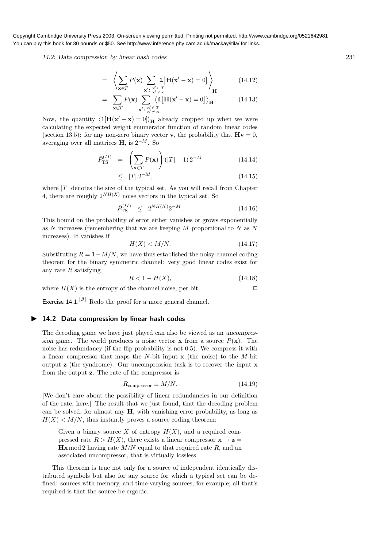14.2: Data compression by linear hash codes 231

$$
= \left\langle \sum_{\mathbf{x} \in T} P(\mathbf{x}) \sum_{\mathbf{x}': \ \mathbf{x}' \in T} \mathbb{1}[\mathbf{H}(\mathbf{x}' - \mathbf{x}) = 0] \right\rangle_{\mathbf{H}}
$$
(14.12)

$$
= \sum_{\mathbf{x}\in T} P(\mathbf{x}) \sum_{\mathbf{x'}\colon \mathbf{x'}\in T} \langle \mathbb{1}[\mathbf{H}(\mathbf{x'}-\mathbf{x})=0] \rangle_{\mathbf{H}}.
$$
 (14.13)

Now, the quantity  $\langle \mathbb{1}[\mathbf{H}(\mathbf{x}' - \mathbf{x}) = 0] \rangle_{\mathbf{H}}$  already cropped up when we were calculating the expected weight enumerator function of random linear codes (section 13.5): for any non-zero binary vector **v**, the probability that  $H\mathbf{v} = 0$ , averaging over all matrices  $H$ , is  $2^{-M}$ . So

$$
\bar{P}_{\rm TS}^{(II)} = \left(\sum_{\mathbf{x} \in T} P(\mathbf{x})\right) \left(|T| - 1\right) 2^{-M} \tag{14.14}
$$

$$
\leq \quad |T| \, 2^{-M}, \tag{14.15}
$$

where  $|T|$  denotes the size of the typical set. As you will recall from Chapter 4, there are roughly  $2^{NH(X)}$  noise vectors in the typical set. So

$$
\bar{P}_{\rm TS}^{(II)} \leq 2^{NH(X)} 2^{-M}.
$$
\n(14.16)

This bound on the probability of error either vanishes or grows exponentially as  $N$  increases (remembering that we are keeping  $M$  proportional to  $N$  as  $N$ increases). It vanishes if

$$
H(X) < M/N. \tag{14.17}
$$

Substituting  $R = 1 - M/N$ , we have thus established the noisy-channel coding theorem for the binary symmetric channel: very good linear codes exist for any rate  $R$  satisfying

$$
R < 1 - H(X),\tag{14.18}
$$

where  $H(X)$  is the entropy of the channel noise, per bit.  $\square$ 

Exercise 14.1.<sup>[3]</sup> Redo the proof for a more general channel.

#### ▶ 14.2 Data compression by linear hash codes

The decoding game we have just played can also be viewed as an uncompression game. The world produces a noise vector **x** from a source  $P(\mathbf{x})$ . The noise has redundancy (if the flip probability is not 0.5). We compress it with a linear compressor that maps the N-bit input  $x$  (the noise) to the M-bit output  $\mathbf{z}$  (the syndrome). Our uncompression task is to recover the input  $\mathbf{x}$ from the output z. The rate of the compressor is

$$
R_{\text{compression}} \equiv M/N. \tag{14.19}
$$

[We don't care about the possibility of linear redundancies in our definition of the rate, here.] The result that we just found, that the decoding problem can be solved, for almost any  $H$ , with vanishing error probability, as long as  $H(X) < M/N$ , thus instantly proves a source coding theorem:

Given a binary source X of entropy  $H(X)$ , and a required compressed rate  $R > H(X)$ , there exists a linear compressor  $\mathbf{x} \to \mathbf{z} =$  $\mathbf{Hx} \mod 2$  having rate  $M/N$  equal to that required rate R, and an associated uncompressor, that is virtually lossless.

This theorem is true not only for a source of independent identically distributed symbols but also for any source for which a typical set can be defined: sources with memory, and time-varying sources, for example; all that's required is that the source be ergodic.